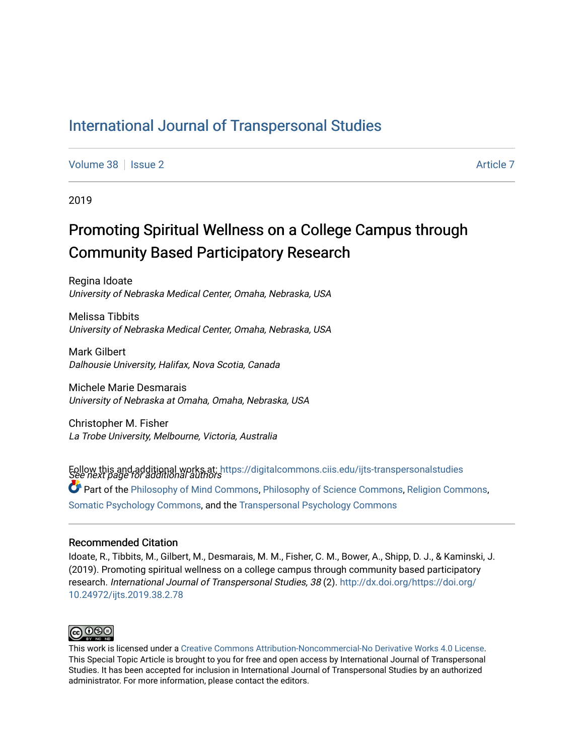# [International Journal of Transpersonal Studies](https://digitalcommons.ciis.edu/ijts-transpersonalstudies)

[Volume 38](https://digitalcommons.ciis.edu/ijts-transpersonalstudies/vol38) | [Issue 2](https://digitalcommons.ciis.edu/ijts-transpersonalstudies/vol38/iss2) [Article 7](https://digitalcommons.ciis.edu/ijts-transpersonalstudies/vol38/iss2/7) Article 7

2019

# Promoting Spiritual Wellness on a College Campus through Community Based Participatory Research

Regina Idoate University of Nebraska Medical Center, Omaha, Nebraska, USA

Melissa Tibbits University of Nebraska Medical Center, Omaha, Nebraska, USA

Mark Gilbert Dalhousie University, Halifax, Nova Scotia, Canada

Michele Marie Desmarais University of Nebraska at Omaha, Omaha, Nebraska, USA

Christopher M. Fisher La Trobe University, Melbourne, Victoria, Australia

Follow this and additional works at: https://digitalcommons.ciis.edu/ijts-transpersonalstudies<br>See next page for additional authors Part of the [Philosophy of Mind Commons](http://network.bepress.com/hgg/discipline/535?utm_source=digitalcommons.ciis.edu%2Fijts-transpersonalstudies%2Fvol38%2Fiss2%2F7&utm_medium=PDF&utm_campaign=PDFCoverPages), [Philosophy of Science Commons,](http://network.bepress.com/hgg/discipline/536?utm_source=digitalcommons.ciis.edu%2Fijts-transpersonalstudies%2Fvol38%2Fiss2%2F7&utm_medium=PDF&utm_campaign=PDFCoverPages) [Religion Commons](http://network.bepress.com/hgg/discipline/538?utm_source=digitalcommons.ciis.edu%2Fijts-transpersonalstudies%2Fvol38%2Fiss2%2F7&utm_medium=PDF&utm_campaign=PDFCoverPages), [Somatic Psychology Commons,](http://network.bepress.com/hgg/discipline/1431?utm_source=digitalcommons.ciis.edu%2Fijts-transpersonalstudies%2Fvol38%2Fiss2%2F7&utm_medium=PDF&utm_campaign=PDFCoverPages) and the [Transpersonal Psychology Commons](http://network.bepress.com/hgg/discipline/1388?utm_source=digitalcommons.ciis.edu%2Fijts-transpersonalstudies%2Fvol38%2Fiss2%2F7&utm_medium=PDF&utm_campaign=PDFCoverPages) 

#### Recommended Citation

Idoate, R., Tibbits, M., Gilbert, M., Desmarais, M. M., Fisher, C. M., Bower, A., Shipp, D. J., & Kaminski, J. (2019). Promoting spiritual wellness on a college campus through community based participatory research. International Journal of Transpersonal Studies, 38 (2). [http://dx.doi.org/https://doi.org/](http://dx.doi.org/https://doi.org/10.24972/ijts.2019.38.2.78) [10.24972/ijts.2019.38.2.78](http://dx.doi.org/https://doi.org/10.24972/ijts.2019.38.2.78)



This work is licensed under a [Creative Commons Attribution-Noncommercial-No Derivative Works 4.0 License.](https://creativecommons.org/licenses/by-nc-nd/4.0/) This Special Topic Article is brought to you for free and open access by International Journal of Transpersonal Studies. It has been accepted for inclusion in International Journal of Transpersonal Studies by an authorized administrator. For more information, please contact the editors.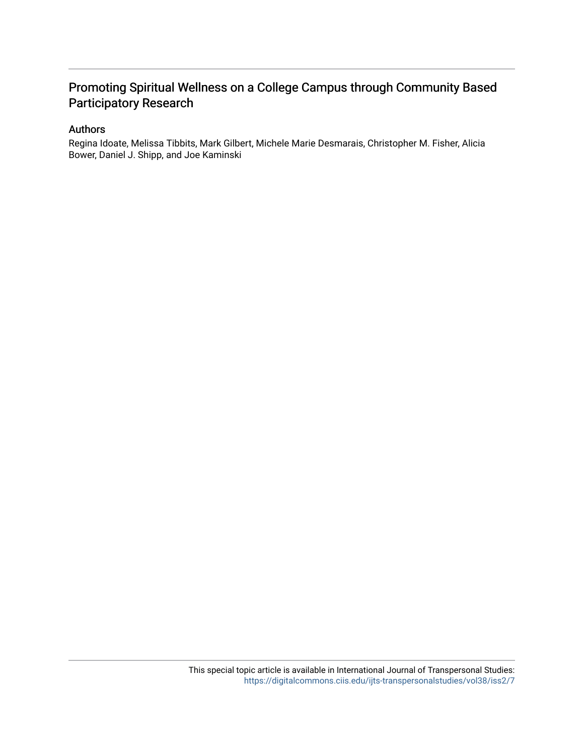## Promoting Spiritual Wellness on a College Campus through Community Based Participatory Research

### Authors

Regina Idoate, Melissa Tibbits, Mark Gilbert, Michele Marie Desmarais, Christopher M. Fisher, Alicia Bower, Daniel J. Shipp, and Joe Kaminski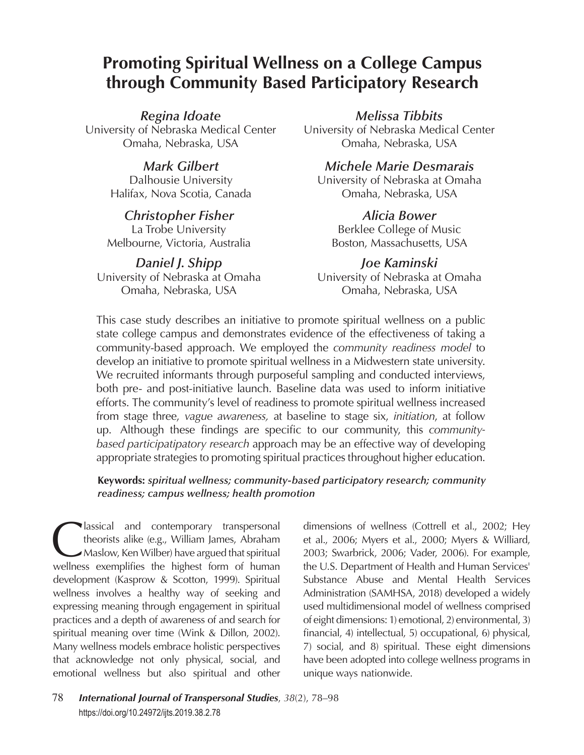# **Promoting Spiritual Wellness on a College Campus through Community Based Participatory Research**

### *Regina Idoate*

University of Nebraska Medical Center Omaha, Nebraska, USA

## *Mark Gilbert*

Dalhousie University Halifax, Nova Scotia, Canada

### *Christopher Fisher* La Trobe University Melbourne, Victoria, Australia

*Daniel J. Shipp* University of Nebraska at Omaha Omaha, Nebraska, USA

*Melissa Tibbits* University of Nebraska Medical Center Omaha, Nebraska, USA

*Michele Marie Desmarais* University of Nebraska at Omaha Omaha, Nebraska, USA

*Alicia Bower* Berklee College of Music Boston, Massachusetts, USA

*Joe Kaminski* University of Nebraska at Omaha Omaha, Nebraska, USA

This case study describes an initiative to promote spiritual wellness on a public state college campus and demonstrates evidence of the effectiveness of taking a community-based approach. We employed the *community readiness model* to develop an initiative to promote spiritual wellness in a Midwestern state university. We recruited informants through purposeful sampling and conducted interviews, both pre- and post-initiative launch. Baseline data was used to inform initiative efforts. The community's level of readiness to promote spiritual wellness increased from stage three, *vague awareness,* at baseline to stage six, *initiation*, at follow up. Although these findings are specific to our community, this *communitybased participatipatory research* approach may be an effective way of developing appropriate strategies to promoting spiritual practices throughout higher education.

### **Keywords:** *spiritual wellness; community-based participatory research; community readiness; campus wellness; health promotion*

Iassical and contemporary transpersonal<br>theorists alike (e.g., William James, Abraham<br>Maslow, Ken Wilber) have argued that spiritual<br>wellness exemplifies the bighest form of human theorists alike (e.g., William James, Abraham Maslow, Ken Wilber) have argued that spiritual wellness exemplifies the highest form of human development (Kasprow & Scotton, 1999). Spiritual wellness involves a healthy way of seeking and expressing meaning through engagement in spiritual practices and a depth of awareness of and search for spiritual meaning over time (Wink & Dillon, 2002). Many wellness models embrace holistic perspectives that acknowledge not only physical, social, and emotional wellness but also spiritual and other

dimensions of wellness (Cottrell et al., 2002; Hey et al., 2006; Myers et al., 2000; Myers & Williard, 2003; Swarbrick, 2006; Vader, 2006). For example, the U.S. Department of Health and Human Services' Substance Abuse and Mental Health Services Administration (SAMHSA, 2018) developed a widely used multidimensional model of wellness comprised of eight dimensions: 1) emotional, 2) environmental, 3) financial, 4) intellectual, 5) occupational, 6) physical, 7) social, and 8) spiritual. These eight dimensions have been adopted into college wellness programs in unique ways nationwide.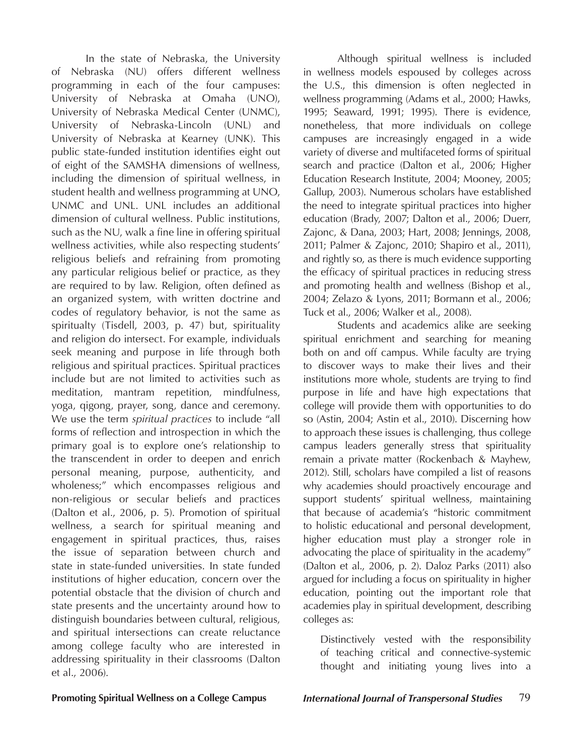In the state of Nebraska, the University of Nebraska (NU) offers different wellness programming in each of the four campuses: University of Nebraska at Omaha (UNO), University of Nebraska Medical Center (UNMC), University of Nebraska-Lincoln (UNL) and University of Nebraska at Kearney (UNK). This public state-funded institution identifies eight out of eight of the SAMSHA dimensions of wellness, including the dimension of spiritual wellness, in student health and wellness programming at UNO, UNMC and UNL. UNL includes an additional dimension of cultural wellness. Public institutions, such as the NU, walk a fine line in offering spiritual wellness activities, while also respecting students' religious beliefs and refraining from promoting any particular religious belief or practice, as they are required to by law. Religion, often defined as an organized system, with written doctrine and codes of regulatory behavior, is not the same as spiritualty (Tisdell, 2003, p. 47) but, spirituality and religion do intersect. For example, individuals seek meaning and purpose in life through both religious and spiritual practices. Spiritual practices include but are not limited to activities such as meditation, mantram repetition, mindfulness, yoga, qigong, prayer, song, dance and ceremony. We use the term *spiritual practices* to include "all forms of reflection and introspection in which the primary goal is to explore one's relationship to the transcendent in order to deepen and enrich personal meaning, purpose, authenticity, and wholeness;" which encompasses religious and non-religious or secular beliefs and practices (Dalton et al., 2006, p. 5). Promotion of spiritual wellness, a search for spiritual meaning and engagement in spiritual practices, thus, raises the issue of separation between church and state in state-funded universities. In state funded institutions of higher education, concern over the potential obstacle that the division of church and state presents and the uncertainty around how to distinguish boundaries between cultural, religious, and spiritual intersections can create reluctance among college faculty who are interested in addressing spirituality in their classrooms (Dalton et al., 2006).

Although spiritual wellness is included in wellness models espoused by colleges across the U.S., this dimension is often neglected in wellness programming (Adams et al., 2000; Hawks, 1995; Seaward, 1991; 1995). There is evidence, nonetheless, that more individuals on college campuses are increasingly engaged in a wide variety of diverse and multifaceted forms of spiritual search and practice (Dalton et al., 2006; Higher Education Research Institute, 2004; Mooney, 2005; Gallup, 2003). Numerous scholars have established the need to integrate spiritual practices into higher education (Brady, 2007; Dalton et al., 2006; Duerr, Zajonc, & Dana, 2003; Hart, 2008; Jennings, 2008, 2011; Palmer & Zajonc, 2010; Shapiro et al., 2011), and rightly so, as there is much evidence supporting the efficacy of spiritual practices in reducing stress and promoting health and wellness (Bishop et al., 2004; Zelazo & Lyons, 2011; Bormann et al., 2006; Tuck et al., 2006; Walker et al., 2008).

Students and academics alike are seeking spiritual enrichment and searching for meaning both on and off campus. While faculty are trying to discover ways to make their lives and their institutions more whole, students are trying to find purpose in life and have high expectations that college will provide them with opportunities to do so (Astin, 2004; Astin et al., 2010). Discerning how to approach these issues is challenging, thus college campus leaders generally stress that spirituality remain a private matter (Rockenbach & Mayhew, 2012). Still, scholars have compiled a list of reasons why academies should proactively encourage and support students' spiritual wellness, maintaining that because of academia's "historic commitment to holistic educational and personal development, higher education must play a stronger role in advocating the place of spirituality in the academy" (Dalton et al., 2006, p. 2). Daloz Parks (2011) also argued for including a focus on spirituality in higher education, pointing out the important role that academies play in spiritual development, describing colleges as:

Distinctively vested with the responsibility of teaching critical and connective-systemic thought and initiating young lives into a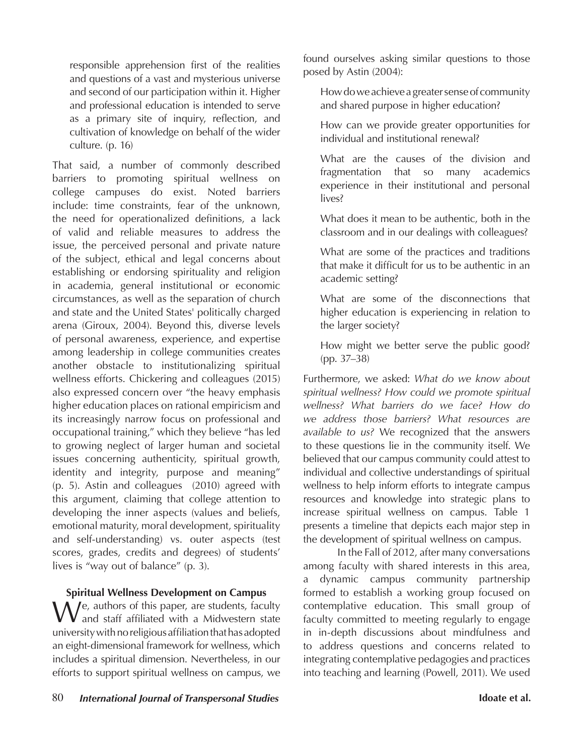responsible apprehension first of the realities and questions of a vast and mysterious universe and second of our participation within it. Higher and professional education is intended to serve as a primary site of inquiry, reflection, and cultivation of knowledge on behalf of the wider culture. (p. 16)

That said, a number of commonly described barriers to promoting spiritual wellness on college campuses do exist. Noted barriers include: time constraints, fear of the unknown, the need for operationalized definitions, a lack of valid and reliable measures to address the issue, the perceived personal and private nature of the subject, ethical and legal concerns about establishing or endorsing spirituality and religion in academia, general institutional or economic circumstances, as well as the separation of church and state and the United States' politically charged arena (Giroux, 2004). Beyond this, diverse levels of personal awareness, experience, and expertise among leadership in college communities creates another obstacle to institutionalizing spiritual wellness efforts. Chickering and colleagues (2015) also expressed concern over "the heavy emphasis higher education places on rational empiricism and its increasingly narrow focus on professional and occupational training," which they believe "has led to growing neglect of larger human and societal issues concerning authenticity, spiritual growth, identity and integrity, purpose and meaning" (p. 5). Astin and colleagues (2010) agreed with this argument, claiming that college attention to developing the inner aspects (values and beliefs, emotional maturity, moral development, spirituality and self-understanding) vs. outer aspects (test scores, grades, credits and degrees) of students' lives is "way out of balance" (p. 3).

### **Spiritual Wellness Development on Campus**

We, authors of this paper, are students, faculty<br>and staff affiliated with a Midwestern state university with no religious affiliation that has adopted an eight-dimensional framework for wellness, which includes a spiritual dimension. Nevertheless, in our efforts to support spiritual wellness on campus, we

found ourselves asking similar questions to those posed by Astin (2004):

How do we achieve a greater sense of community and shared purpose in higher education?

How can we provide greater opportunities for individual and institutional renewal?

What are the causes of the division and fragmentation that so many academics experience in their institutional and personal lives?

What does it mean to be authentic, both in the classroom and in our dealings with colleagues?

What are some of the practices and traditions that make it difficult for us to be authentic in an academic setting?

What are some of the disconnections that higher education is experiencing in relation to the larger society?

How might we better serve the public good? (pp. 37–38)

Furthermore, we asked: *What do we know about spiritual wellness? How could we promote spiritual wellness? What barriers do we face? How do we address those barriers? What resources are available to us?* We recognized that the answers to these questions lie in the community itself. We believed that our campus community could attest to individual and collective understandings of spiritual wellness to help inform efforts to integrate campus resources and knowledge into strategic plans to increase spiritual wellness on campus. Table 1 presents a timeline that depicts each major step in the development of spiritual wellness on campus.

In the Fall of 2012, after many conversations among faculty with shared interests in this area, a dynamic campus community partnership formed to establish a working group focused on contemplative education. This small group of faculty committed to meeting regularly to engage in in-depth discussions about mindfulness and to address questions and concerns related to integrating contemplative pedagogies and practices into teaching and learning (Powell, 2011). We used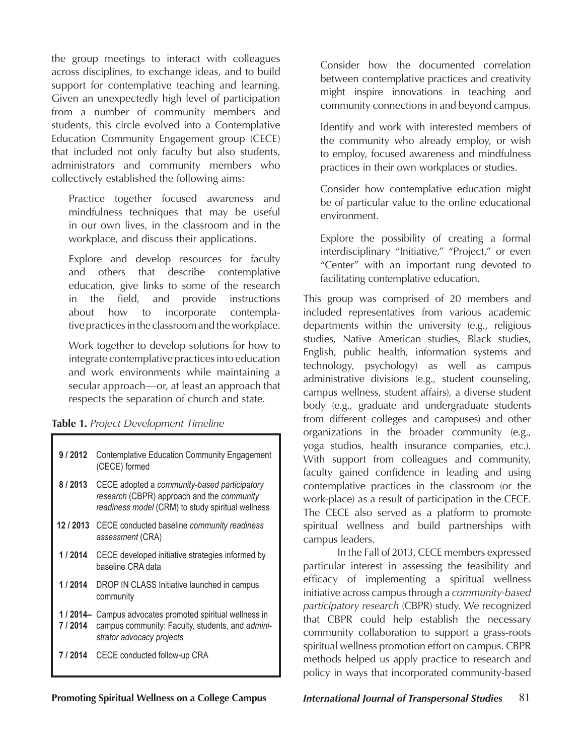the group meetings to interact with colleagues across disciplines, to exchange ideas, and to build support for contemplative teaching and learning. Given an unexpectedly high level of participation from a number of community members and students, this circle evolved into a Contemplative Education Community Engagement group (CECE) that included not only faculty but also students, administrators and community members who collectively established the following aims:

Practice together focused awareness and mindfulness techniques that may be useful in our own lives, in the classroom and in the workplace, and discuss their applications.

Explore and develop resources for faculty and others that describe contemplative education, give links to some of the research in the field, and provide instructions about how to incorporate contemplative practices in the classroom and the workplace.

Work together to develop solutions for how to integrate contemplative practices into education and work environments while maintaining a secular approach—or, at least an approach that respects the separation of church and state.

|  |  | Table 1. Project Development Timeline |  |
|--|--|---------------------------------------|--|
|  |  |                                       |  |

| 9 / 2012 | <b>Contemplative Education Community Engagement</b><br>(CECE) formed                                                                            |  |
|----------|-------------------------------------------------------------------------------------------------------------------------------------------------|--|
| 8/2013   | CECE adopted a community-based participatory<br>research (CBPR) approach and the community<br>readiness model (CRM) to study spiritual wellness |  |
|          | 12 / 2013 CECE conducted baseline community readiness<br>assessment (CRA)                                                                       |  |
| 1 / 2014 | CECE developed initiative strategies informed by<br>baseline CRA data                                                                           |  |
| 1/2014   | DROP IN CLASS Initiative launched in campus<br>community                                                                                        |  |
| 7 / 2014 | 1/2014– Campus advocates promoted spiritual wellness in<br>campus community: Faculty, students, and admini-<br>strator advocacy projects        |  |
| 7 / 2014 | CECE conducted follow-up CRA                                                                                                                    |  |

Consider how the documented correlation between contemplative practices and creativity might inspire innovations in teaching and community connections in and beyond campus.

Identify and work with interested members of the community who already employ, or wish to employ, focused awareness and mindfulness practices in their own workplaces or studies.

Consider how contemplative education might be of particular value to the online educational environment.

Explore the possibility of creating a formal interdisciplinary "Initiative," "Project," or even "Center" with an important rung devoted to facilitating contemplative education.

This group was comprised of 20 members and included representatives from various academic departments within the university (e.g., religious studies, Native American studies, Black studies, English, public health, information systems and technology, psychology) as well as campus administrative divisions (e.g., student counseling, campus wellness, student affairs), a diverse student body (e.g., graduate and undergraduate students from different colleges and campuses) and other organizations in the broader community (e.g., yoga studios, health insurance companies, etc.). With support from colleagues and community, faculty gained confidence in leading and using contemplative practices in the classroom (or the work-place) as a result of participation in the CECE. The CECE also served as a platform to promote spiritual wellness and build partnerships with campus leaders.

In the Fall of 2013, CECE members expressed particular interest in assessing the feasibility and efficacy of implementing a spiritual wellness initiative across campus through a *community-based participatory research* (CBPR) study. We recognized that CBPR could help establish the necessary community collaboration to support a grass-roots spiritual wellness promotion effort on campus. CBPR methods helped us apply practice to research and policy in ways that incorporated community-based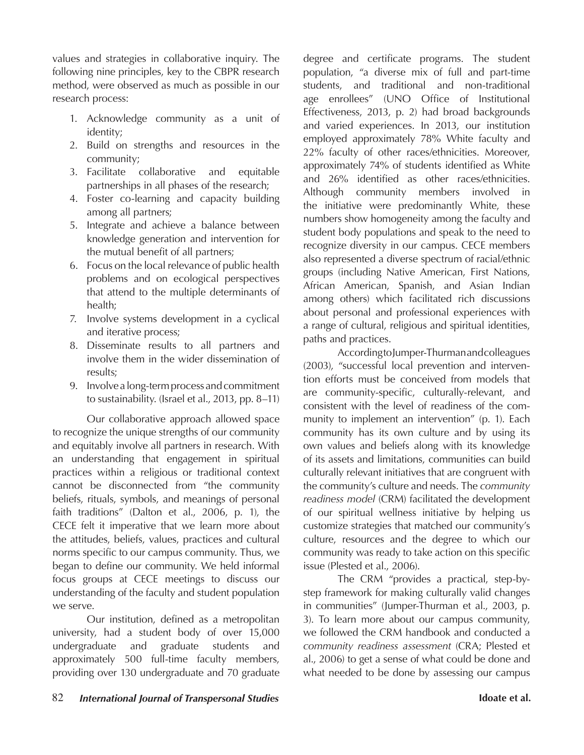values and strategies in collaborative inquiry. The following nine principles, key to the CBPR research method, were observed as much as possible in our research process:

- 1. Acknowledge community as a unit of identity;
- 2. Build on strengths and resources in the community;
- 3. Facilitate collaborative and equitable partnerships in all phases of the research;
- 4. Foster co-learning and capacity building among all partners;
- 5. Integrate and achieve a balance between knowledge generation and intervention for the mutual benefit of all partners;
- 6. Focus on the local relevance of public health problems and on ecological perspectives that attend to the multiple determinants of health;
- 7. Involve systems development in a cyclical and iterative process;
- 8. Disseminate results to all partners and involve them in the wider dissemination of results;
- 9. Involve a long-term process and commitment to sustainability. (Israel et al., 2013, pp. 8–11)

Our collaborative approach allowed space to recognize the unique strengths of our community and equitably involve all partners in research. With an understanding that engagement in spiritual practices within a religious or traditional context cannot be disconnected from "the community beliefs, rituals, symbols, and meanings of personal faith traditions" (Dalton et al., 2006, p. 1), the CECE felt it imperative that we learn more about the attitudes, beliefs, values, practices and cultural norms specific to our campus community. Thus, we began to define our community. We held informal focus groups at CECE meetings to discuss our understanding of the faculty and student population we serve.

Our institution, defined as a metropolitan university, had a student body of over 15,000 undergraduate and graduate students and approximately 500 full-time faculty members, providing over 130 undergraduate and 70 graduate degree and certificate programs. The student population, "a diverse mix of full and part-time students, and traditional and non-traditional age enrollees" (UNO Office of Institutional Effectiveness, 2013, p. 2) had broad backgrounds and varied experiences. In 2013, our institution employed approximately 78% White faculty and 22% faculty of other races/ethnicities. Moreover, approximately 74% of students identified as White and 26% identified as other races/ethnicities. Although community members involved in the initiative were predominantly White, these numbers show homogeneity among the faculty and student body populations and speak to the need to recognize diversity in our campus. CECE members also represented a diverse spectrum of racial/ethnic groups (including Native American, First Nations, African American, Spanish, and Asian Indian among others) which facilitated rich discussions about personal and professional experiences with a range of cultural, religious and spiritual identities, paths and practices.

According to Jumper-Thurman and colleagues (2003), "successful local prevention and intervention efforts must be conceived from models that are community-specific, culturally-relevant, and consistent with the level of readiness of the community to implement an intervention" (p. 1). Each community has its own culture and by using its own values and beliefs along with its knowledge of its assets and limitations, communities can build culturally relevant initiatives that are congruent with the community's culture and needs. The *community readiness model* (CRM) facilitated the development of our spiritual wellness initiative by helping us customize strategies that matched our community's culture, resources and the degree to which our community was ready to take action on this specific issue (Plested et al., 2006).

The CRM "provides a practical, step-bystep framework for making culturally valid changes in communities" (Jumper-Thurman et al., 2003, p. 3). To learn more about our campus community, we followed the CRM handbook and conducted a *community readiness assessment* (CRA; Plested et al., 2006) to get a sense of what could be done and what needed to be done by assessing our campus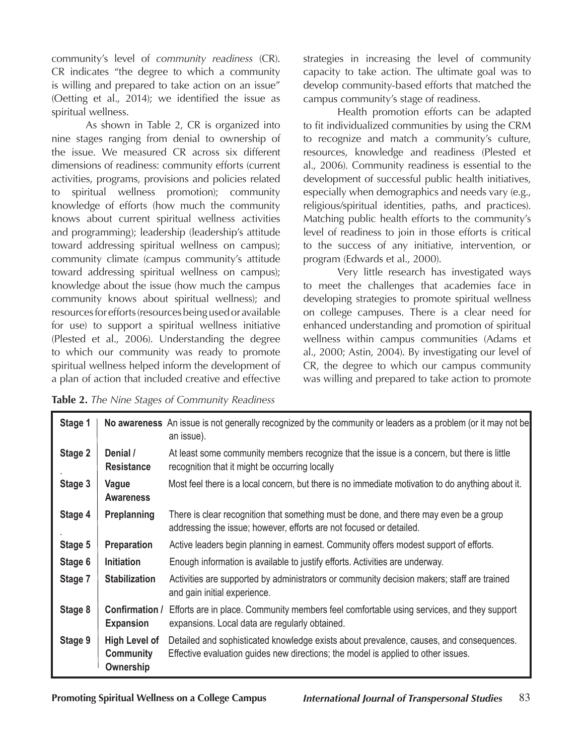community's level of *community readiness* (CR). CR indicates "the degree to which a community is willing and prepared to take action on an issue" (Oetting et al., 2014); we identified the issue as spiritual wellness.

As shown in Table 2, CR is organized into nine stages ranging from denial to ownership of the issue. We measured CR across six different dimensions of readiness: community efforts (current activities, programs, provisions and policies related to spiritual wellness promotion); community knowledge of efforts (how much the community knows about current spiritual wellness activities and programming); leadership (leadership's attitude toward addressing spiritual wellness on campus); community climate (campus community's attitude toward addressing spiritual wellness on campus); knowledge about the issue (how much the campus community knows about spiritual wellness); and resources for efforts (resources being used or available for use) to support a spiritual wellness initiative (Plested et al., 2006). Understanding the degree to which our community was ready to promote spiritual wellness helped inform the development of a plan of action that included creative and effective strategies in increasing the level of community capacity to take action. The ultimate goal was to develop community-based efforts that matched the campus community's stage of readiness.

Health promotion efforts can be adapted to fit individualized communities by using the CRM to recognize and match a community's culture, resources, knowledge and readiness (Plested et al., 2006). Community readiness is essential to the development of successful public health initiatives, especially when demographics and needs vary (e.g., religious/spiritual identities, paths, and practices). Matching public health efforts to the community's level of readiness to join in those efforts is critical to the success of any initiative, intervention, or program (Edwards et al., 2000).

Very little research has investigated ways to meet the challenges that academies face in developing strategies to promote spiritual wellness on college campuses. There is a clear need for enhanced understanding and promotion of spiritual wellness within campus communities (Adams et al., 2000; Astin, 2004). By investigating our level of CR, the degree to which our campus community was willing and prepared to take action to promote

**Table 2.** *The Nine Stages of Community Readiness*

| Stage 1 |                                                | No awareness An issue is not generally recognized by the community or leaders as a problem (or it may not be<br>an issue).                                                   |
|---------|------------------------------------------------|------------------------------------------------------------------------------------------------------------------------------------------------------------------------------|
| Stage 2 | Denial /<br><b>Resistance</b>                  | At least some community members recognize that the issue is a concern, but there is little<br>recognition that it might be occurring locally                                 |
| Stage 3 | Vague<br><b>Awareness</b>                      | Most feel there is a local concern, but there is no immediate motivation to do anything about it.                                                                            |
| Stage 4 | <b>Preplanning</b>                             | There is clear recognition that something must be done, and there may even be a group<br>addressing the issue; however, efforts are not focused or detailed.                 |
| Stage 5 | <b>Preparation</b>                             | Active leaders begin planning in earnest. Community offers modest support of efforts.                                                                                        |
| Stage 6 | <b>Initiation</b>                              | Enough information is available to justify efforts. Activities are underway.                                                                                                 |
| Stage 7 | <b>Stabilization</b>                           | Activities are supported by administrators or community decision makers; staff are trained<br>and gain initial experience.                                                   |
| Stage 8 | Confirmation /<br><b>Expansion</b>             | Efforts are in place. Community members feel comfortable using services, and they support<br>expansions. Local data are regularly obtained.                                  |
| Stage 9 | <b>High Level of</b><br>Community<br>Ownership | Detailed and sophisticated knowledge exists about prevalence, causes, and consequences.<br>Effective evaluation guides new directions; the model is applied to other issues. |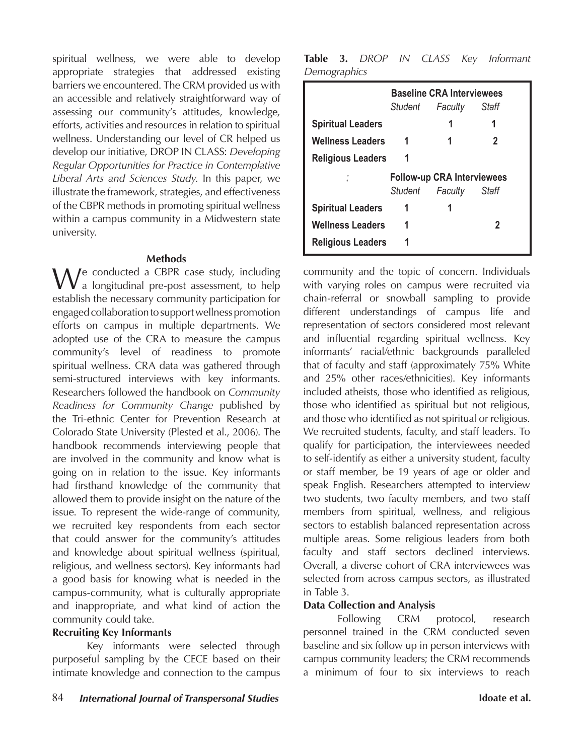spiritual wellness, we were able to develop appropriate strategies that addressed existing barriers we encountered. The CRM provided us with an accessible and relatively straightforward way of assessing our community's attitudes, knowledge, efforts, activities and resources in relation to spiritual wellness. Understanding our level of CR helped us develop our initiative, DROP IN CLASS: *Developing Regular Opportunities for Practice in Contemplative Liberal Arts and Sciences Study.* In this paper, we illustrate the framework, strategies, and effectiveness of the CBPR methods in promoting spiritual wellness within a campus community in a Midwestern state university.

#### **Methods**

We conducted a CBPR case study, including<br>a longitudinal pre-post assessment, to help establish the necessary community participation for engaged collaboration to support wellness promotion efforts on campus in multiple departments. We adopted use of the CRA to measure the campus community's level of readiness to promote spiritual wellness. CRA data was gathered through semi-structured interviews with key informants. Researchers followed the handbook on *Community Readiness for Community Change* published by the Tri-ethnic Center for Prevention Research at Colorado State University (Plested et al., 2006). The handbook recommends interviewing people that are involved in the community and know what is going on in relation to the issue. Key informants had firsthand knowledge of the community that allowed them to provide insight on the nature of the issue. To represent the wide-range of community, we recruited key respondents from each sector that could answer for the community's attitudes and knowledge about spiritual wellness (spiritual, religious, and wellness sectors). Key informants had a good basis for knowing what is needed in the campus-community, what is culturally appropriate and inappropriate, and what kind of action the community could take.

#### **Recruiting Key Informants**

Key informants were selected through purposeful sampling by the CECE based on their intimate knowledge and connection to the campus

**Table 3.** *DROP IN CLASS Key Informant Demographics*

|                          |                                   | <b>Baseline CRA Interviewees</b><br>Student Faculty Staff |   |  |
|--------------------------|-----------------------------------|-----------------------------------------------------------|---|--|
| <b>Spiritual Leaders</b> |                                   |                                                           |   |  |
| <b>Wellness Leaders</b>  | 1                                 |                                                           | 2 |  |
| <b>Religious Leaders</b> |                                   |                                                           |   |  |
|                          | <b>Follow-up CRA Interviewees</b> |                                                           |   |  |
|                          |                                   | Student Faculty Staff                                     |   |  |
| <b>Spiritual Leaders</b> |                                   |                                                           |   |  |
| <b>Wellness Leaders</b>  |                                   |                                                           |   |  |
| <b>Religious Leaders</b> |                                   |                                                           |   |  |

community and the topic of concern. Individuals with varying roles on campus were recruited via chain-referral or snowball sampling to provide different understandings of campus life and representation of sectors considered most relevant and influential regarding spiritual wellness. Key informants' racial/ethnic backgrounds paralleled that of faculty and staff (approximately 75% White and 25% other races/ethnicities). Key informants included atheists, those who identified as religious, those who identified as spiritual but not religious, and those who identified as not spiritual or religious. We recruited students, faculty, and staff leaders. To qualify for participation, the interviewees needed to self-identify as either a university student, faculty or staff member, be 19 years of age or older and speak English. Researchers attempted to interview two students, two faculty members, and two staff members from spiritual, wellness, and religious sectors to establish balanced representation across multiple areas. Some religious leaders from both faculty and staff sectors declined interviews. Overall, a diverse cohort of CRA interviewees was selected from across campus sectors, as illustrated in Table 3.

### **Data Collection and Analysis**

Following CRM protocol, research personnel trained in the CRM conducted seven baseline and six follow up in person interviews with campus community leaders; the CRM recommends a minimum of four to six interviews to reach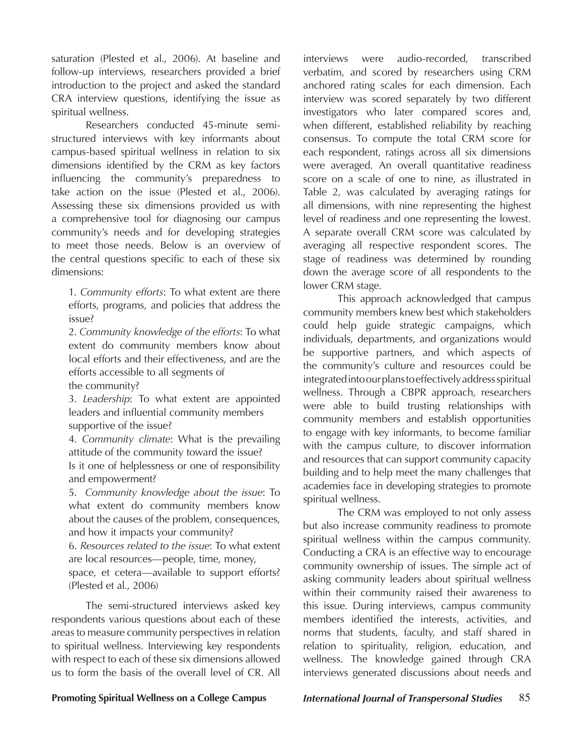saturation (Plested et al., 2006). At baseline and follow-up interviews, researchers provided a brief introduction to the project and asked the standard CRA interview questions, identifying the issue as spiritual wellness.

Researchers conducted 45-minute semistructured interviews with key informants about campus-based spiritual wellness in relation to six dimensions identified by the CRM as key factors influencing the community's preparedness to take action on the issue (Plested et al., 2006). Assessing these six dimensions provided us with a comprehensive tool for diagnosing our campus community's needs and for developing strategies to meet those needs. Below is an overview of the central questions specific to each of these six dimensions:

1. *Community efforts*: To what extent are there efforts, programs, and policies that address the issue?

2. *Community knowledge of the efforts*: To what extent do community members know about local efforts and their effectiveness, and are the efforts accessible to all segments of

the community?

3. *Leadership*: To what extent are appointed leaders and influential community members supportive of the issue?

4. *Community climate*: What is the prevailing attitude of the community toward the issue? Is it one of helplessness or one of responsibility and empowerment?

5. *Community knowledge about the issue*: To what extent do community members know about the causes of the problem, consequences, and how it impacts your community?

6. *Resources related to the issue*: To what extent are local resources—people, time, money,

space, et cetera—available to support efforts? (Plested et al., 2006)

The semi-structured interviews asked key respondents various questions about each of these areas to measure community perspectives in relation to spiritual wellness. Interviewing key respondents with respect to each of these six dimensions allowed us to form the basis of the overall level of CR. All

interviews were audio-recorded, transcribed verbatim, and scored by researchers using CRM anchored rating scales for each dimension. Each interview was scored separately by two different investigators who later compared scores and, when different, established reliability by reaching consensus. To compute the total CRM score for each respondent, ratings across all six dimensions were averaged. An overall quantitative readiness score on a scale of one to nine, as illustrated in Table 2, was calculated by averaging ratings for all dimensions, with nine representing the highest level of readiness and one representing the lowest. A separate overall CRM score was calculated by averaging all respective respondent scores. The stage of readiness was determined by rounding down the average score of all respondents to the lower CRM stage.

This approach acknowledged that campus community members knew best which stakeholders could help guide strategic campaigns, which individuals, departments, and organizations would be supportive partners, and which aspects of the community's culture and resources could be integrated into our plans to effectively address spiritual wellness. Through a CBPR approach, researchers were able to build trusting relationships with community members and establish opportunities to engage with key informants, to become familiar with the campus culture, to discover information and resources that can support community capacity building and to help meet the many challenges that academies face in developing strategies to promote spiritual wellness.

The CRM was employed to not only assess but also increase community readiness to promote spiritual wellness within the campus community. Conducting a CRA is an effective way to encourage community ownership of issues. The simple act of asking community leaders about spiritual wellness within their community raised their awareness to this issue. During interviews, campus community members identified the interests, activities, and norms that students, faculty, and staff shared in relation to spirituality, religion, education, and wellness. The knowledge gained through CRA interviews generated discussions about needs and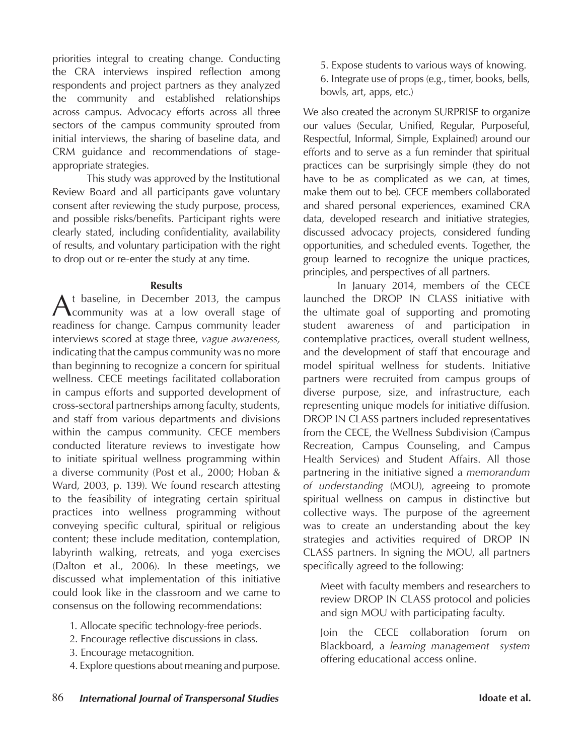priorities integral to creating change. Conducting the CRA interviews inspired reflection among respondents and project partners as they analyzed the community and established relationships across campus. Advocacy efforts across all three sectors of the campus community sprouted from initial interviews, the sharing of baseline data, and CRM guidance and recommendations of stageappropriate strategies.

This study was approved by the Institutional Review Board and all participants gave voluntary consent after reviewing the study purpose, process, and possible risks/benefits. Participant rights were clearly stated, including confidentiality, availability of results, and voluntary participation with the right to drop out or re-enter the study at any time.

#### **Results**

At baseline, in December 2013, the campus community was at a low overall stage of readiness for change. Campus community leader interviews scored at stage three, *vague awareness,*  indicating that the campus community was no more than beginning to recognize a concern for spiritual wellness. CECE meetings facilitated collaboration in campus efforts and supported development of cross-sectoral partnerships among faculty, students, and staff from various departments and divisions within the campus community. CECE members conducted literature reviews to investigate how to initiate spiritual wellness programming within a diverse community (Post et al., 2000; Hoban & Ward, 2003, p. 139). We found research attesting to the feasibility of integrating certain spiritual practices into wellness programming without conveying specific cultural, spiritual or religious content; these include meditation, contemplation, labyrinth walking, retreats, and yoga exercises (Dalton et al., 2006). In these meetings, we discussed what implementation of this initiative could look like in the classroom and we came to consensus on the following recommendations:

- 1. Allocate specific technology-free periods.
- 2. Encourage reflective discussions in class.
- 3. Encourage metacognition.
- 4. Explore questions about meaning and purpose.

5. Expose students to various ways of knowing. 6. Integrate use of props (e.g., timer, books, bells, bowls, art, apps, etc.)

We also created the acronym SURPRISE to organize our values (Secular, Unified, Regular, Purposeful, Respectful, Informal, Simple, Explained) around our efforts and to serve as a fun reminder that spiritual practices can be surprisingly simple (they do not have to be as complicated as we can, at times, make them out to be). CECE members collaborated and shared personal experiences, examined CRA data, developed research and initiative strategies, discussed advocacy projects, considered funding opportunities, and scheduled events. Together, the group learned to recognize the unique practices, principles, and perspectives of all partners.

In January 2014, members of the CECE launched the DROP IN CLASS initiative with the ultimate goal of supporting and promoting student awareness of and participation in contemplative practices, overall student wellness, and the development of staff that encourage and model spiritual wellness for students. Initiative partners were recruited from campus groups of diverse purpose, size, and infrastructure, each representing unique models for initiative diffusion. DROP IN CLASS partners included representatives from the CECE, the Wellness Subdivision (Campus Recreation, Campus Counseling, and Campus Health Services) and Student Affairs. All those partnering in the initiative signed a *memorandum of understanding* (MOU), agreeing to promote spiritual wellness on campus in distinctive but collective ways. The purpose of the agreement was to create an understanding about the key strategies and activities required of DROP IN CLASS partners. In signing the MOU, all partners specifically agreed to the following:

Meet with faculty members and researchers to review DROP IN CLASS protocol and policies and sign MOU with participating faculty.

Join the CECE collaboration forum on Blackboard, a *learning management system* offering educational access online.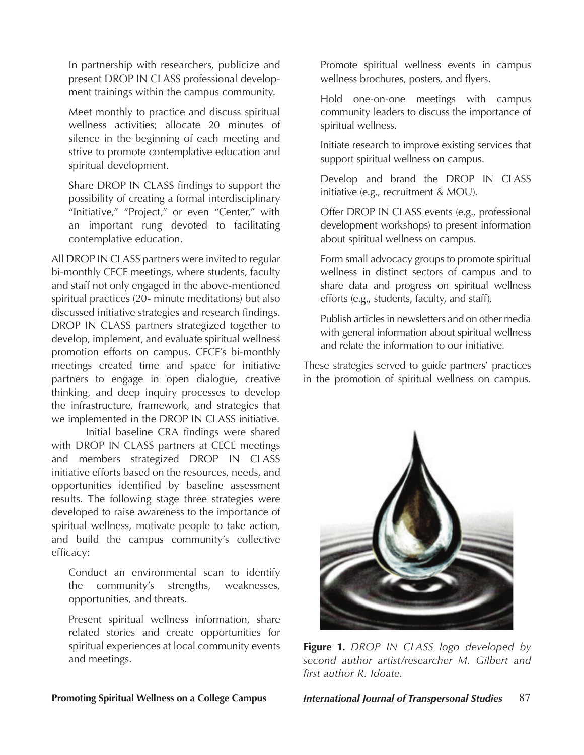In partnership with researchers, publicize and present DROP IN CLASS professional development trainings within the campus community.

Meet monthly to practice and discuss spiritual wellness activities; allocate 20 minutes of silence in the beginning of each meeting and strive to promote contemplative education and spiritual development.

Share DROP IN CLASS findings to support the possibility of creating a formal interdisciplinary "Initiative," "Project," or even "Center," with an important rung devoted to facilitating contemplative education.

All DROP IN CLASS partners were invited to regular bi-monthly CECE meetings, where students, faculty and staff not only engaged in the above-mentioned spiritual practices (20- minute meditations) but also discussed initiative strategies and research findings. DROP IN CLASS partners strategized together to develop, implement, and evaluate spiritual wellness promotion efforts on campus. CECE's bi-monthly meetings created time and space for initiative partners to engage in open dialogue, creative thinking, and deep inquiry processes to develop the infrastructure, framework, and strategies that we implemented in the DROP IN CLASS initiative.

Initial baseline CRA findings were shared with DROP IN CLASS partners at CECE meetings and members strategized DROP IN CLASS initiative efforts based on the resources, needs, and opportunities identified by baseline assessment results. The following stage three strategies were developed to raise awareness to the importance of spiritual wellness, motivate people to take action, and build the campus community's collective efficacy:

Conduct an environmental scan to identify the community's strengths, weaknesses, opportunities, and threats.

Present spiritual wellness information, share related stories and create opportunities for spiritual experiences at local community events and meetings.

Promote spiritual wellness events in campus wellness brochures, posters, and flyers.

Hold one-on-one meetings with campus community leaders to discuss the importance of spiritual wellness.

Initiate research to improve existing services that support spiritual wellness on campus.

Develop and brand the DROP IN CLASS initiative (e.g., recruitment & MOU).

Offer DROP IN CLASS events (e.g., professional development workshops) to present information about spiritual wellness on campus.

Form small advocacy groups to promote spiritual wellness in distinct sectors of campus and to share data and progress on spiritual wellness efforts (e.g., students, faculty, and staff).

Publish articles in newsletters and on other media with general information about spiritual wellness and relate the information to our initiative.

These strategies served to guide partners' practices in the promotion of spiritual wellness on campus.



**Figure 1.** *DROP IN CLASS logo developed by second author artist/researcher M. Gilbert and first author R. Idoate.*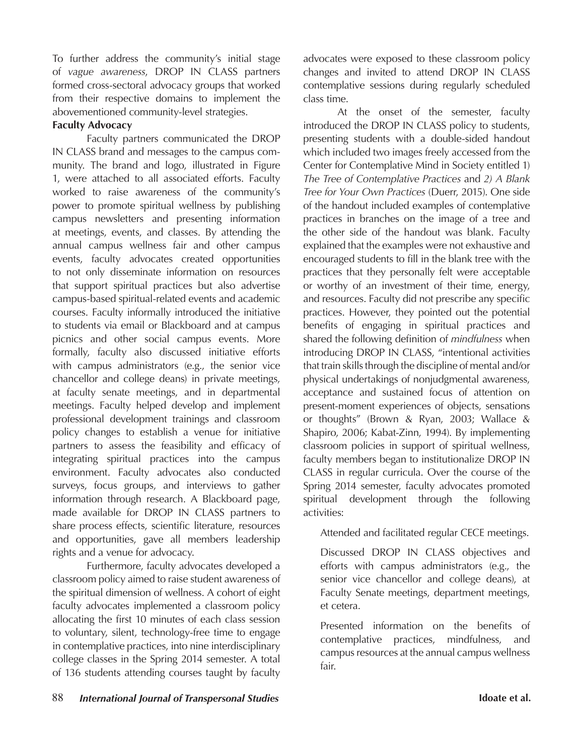To further address the community's initial stage of *vague awareness*, DROP IN CLASS partners formed cross-sectoral advocacy groups that worked from their respective domains to implement the abovementioned community-level strategies.

#### **Faculty Advocacy**

Faculty partners communicated the DROP IN CLASS brand and messages to the campus community. The brand and logo, illustrated in Figure 1, were attached to all associated efforts. Faculty worked to raise awareness of the community's power to promote spiritual wellness by publishing campus newsletters and presenting information at meetings, events, and classes. By attending the annual campus wellness fair and other campus events, faculty advocates created opportunities to not only disseminate information on resources that support spiritual practices but also advertise campus-based spiritual-related events and academic courses. Faculty informally introduced the initiative to students via email or Blackboard and at campus picnics and other social campus events. More formally, faculty also discussed initiative efforts with campus administrators (e.g., the senior vice chancellor and college deans) in private meetings, at faculty senate meetings, and in departmental meetings. Faculty helped develop and implement professional development trainings and classroom policy changes to establish a venue for initiative partners to assess the feasibility and efficacy of integrating spiritual practices into the campus environment. Faculty advocates also conducted surveys, focus groups, and interviews to gather information through research. A Blackboard page, made available for DROP IN CLASS partners to share process effects, scientific literature, resources and opportunities, gave all members leadership rights and a venue for advocacy.

Furthermore, faculty advocates developed a classroom policy aimed to raise student awareness of the spiritual dimension of wellness. A cohort of eight faculty advocates implemented a classroom policy allocating the first 10 minutes of each class session to voluntary, silent, technology-free time to engage in contemplative practices, into nine interdisciplinary college classes in the Spring 2014 semester. A total of 136 students attending courses taught by faculty

advocates were exposed to these classroom policy changes and invited to attend DROP IN CLASS contemplative sessions during regularly scheduled class time.

At the onset of the semester, faculty introduced the DROP IN CLASS policy to students, presenting students with a double-sided handout which included two images freely accessed from the Center for Contemplative Mind in Society entitled 1) *The Tree of Contemplative Practices* and *2) A Blank Tree for Your Own Practices* (Duerr, 2015). One side of the handout included examples of contemplative practices in branches on the image of a tree and the other side of the handout was blank. Faculty explained that the examples were not exhaustive and encouraged students to fill in the blank tree with the practices that they personally felt were acceptable or worthy of an investment of their time, energy, and resources. Faculty did not prescribe any specific practices. However, they pointed out the potential benefits of engaging in spiritual practices and shared the following definition of *mindfulness* when introducing DROP IN CLASS, "intentional activities that train skills through the discipline of mental and/or physical undertakings of nonjudgmental awareness, acceptance and sustained focus of attention on present-moment experiences of objects, sensations or thoughts" (Brown & Ryan, 2003; Wallace & Shapiro, 2006; Kabat-Zinn, 1994). By implementing classroom policies in support of spiritual wellness, faculty members began to institutionalize DROP IN CLASS in regular curricula. Over the course of the Spring 2014 semester, faculty advocates promoted spiritual development through the following activities:

Attended and facilitated regular CECE meetings.

Discussed DROP IN CLASS objectives and efforts with campus administrators (e.g., the senior vice chancellor and college deans), at Faculty Senate meetings, department meetings, et cetera.

Presented information on the benefits of contemplative practices, mindfulness, and campus resources at the annual campus wellness fair.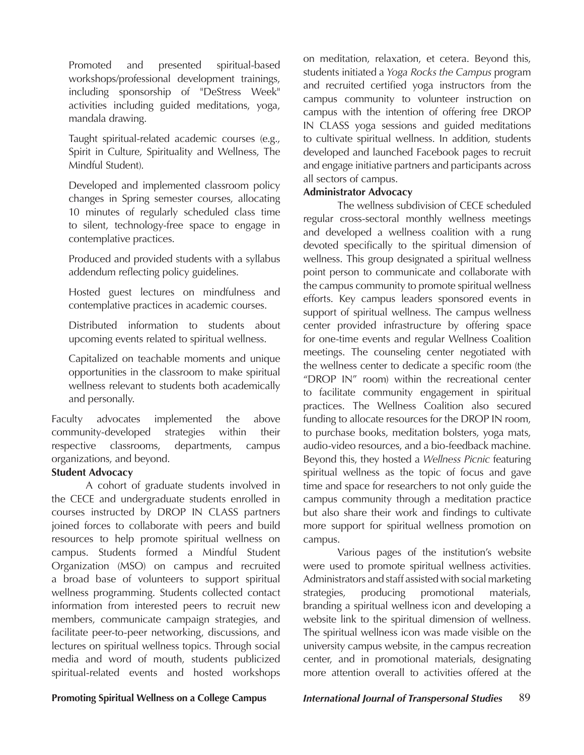Promoted and presented spiritual-based workshops/professional development trainings, including sponsorship of "DeStress Week" activities including guided meditations, yoga, mandala drawing.

Taught spiritual-related academic courses (e.g., Spirit in Culture, Spirituality and Wellness, The Mindful Student).

Developed and implemented classroom policy changes in Spring semester courses, allocating 10 minutes of regularly scheduled class time to silent, technology-free space to engage in contemplative practices.

Produced and provided students with a syllabus addendum reflecting policy guidelines.

Hosted guest lectures on mindfulness and contemplative practices in academic courses.

Distributed information to students about upcoming events related to spiritual wellness.

Capitalized on teachable moments and unique opportunities in the classroom to make spiritual wellness relevant to students both academically and personally.

Faculty advocates implemented the above community-developed strategies within their respective classrooms, departments, campus organizations, and beyond.

#### **Student Advocacy**

A cohort of graduate students involved in the CECE and undergraduate students enrolled in courses instructed by DROP IN CLASS partners joined forces to collaborate with peers and build resources to help promote spiritual wellness on campus. Students formed a Mindful Student Organization (MSO) on campus and recruited a broad base of volunteers to support spiritual wellness programming. Students collected contact information from interested peers to recruit new members, communicate campaign strategies, and facilitate peer-to-peer networking, discussions, and lectures on spiritual wellness topics. Through social media and word of mouth, students publicized spiritual-related events and hosted workshops

on meditation, relaxation, et cetera. Beyond this, students initiated a *Yoga Rocks the Campus* program and recruited certified yoga instructors from the campus community to volunteer instruction on campus with the intention of offering free DROP IN CLASS yoga sessions and guided meditations to cultivate spiritual wellness. In addition, students developed and launched Facebook pages to recruit and engage initiative partners and participants across all sectors of campus.

#### **Administrator Advocacy**

The wellness subdivision of CECE scheduled regular cross-sectoral monthly wellness meetings and developed a wellness coalition with a rung devoted specifically to the spiritual dimension of wellness. This group designated a spiritual wellness point person to communicate and collaborate with the campus community to promote spiritual wellness efforts. Key campus leaders sponsored events in support of spiritual wellness. The campus wellness center provided infrastructure by offering space for one-time events and regular Wellness Coalition meetings. The counseling center negotiated with the wellness center to dedicate a specific room (the "DROP IN" room) within the recreational center to facilitate community engagement in spiritual practices. The Wellness Coalition also secured funding to allocate resources for the DROP IN room, to purchase books, meditation bolsters, yoga mats, audio-video resources, and a bio-feedback machine. Beyond this, they hosted a *Wellness Picnic* featuring spiritual wellness as the topic of focus and gave time and space for researchers to not only guide the campus community through a meditation practice but also share their work and findings to cultivate more support for spiritual wellness promotion on campus.

Various pages of the institution's website were used to promote spiritual wellness activities. Administrators and staff assisted with social marketing strategies, producing promotional materials, branding a spiritual wellness icon and developing a website link to the spiritual dimension of wellness. The spiritual wellness icon was made visible on the university campus website, in the campus recreation center, and in promotional materials, designating more attention overall to activities offered at the

**Promoting Spiritual Wellness on a College Campus** *International Journal of Transpersonal Studies* 89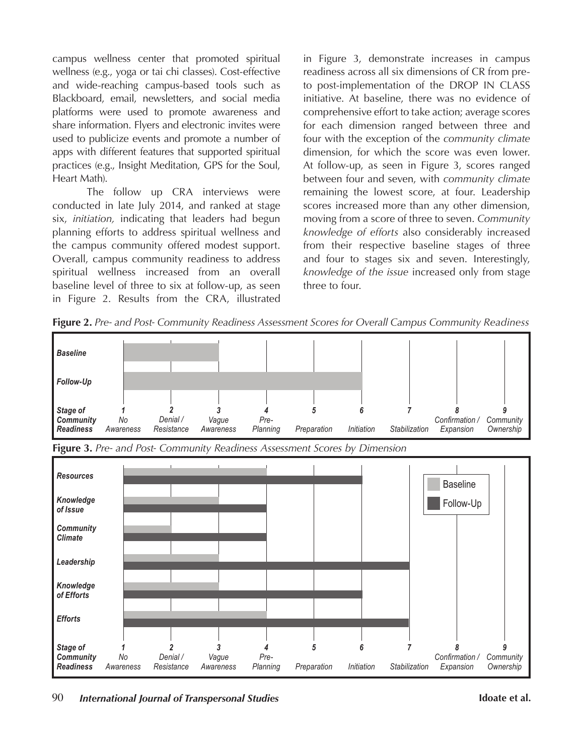campus wellness center that promoted spiritual wellness (e.g., yoga or tai chi classes). Cost-effective and wide-reaching campus-based tools such as Blackboard, email, newsletters, and social media platforms were used to promote awareness and share information. Flyers and electronic invites were used to publicize events and promote a number of apps with different features that supported spiritual practices (e.g., Insight Meditation, GPS for the Soul, Heart Math).

The follow up CRA interviews were conducted in late July 2014, and ranked at stage six, *initiation,* indicating that leaders had begun planning efforts to address spiritual wellness and the campus community offered modest support. Overall, campus community readiness to address spiritual wellness increased from an overall baseline level of three to six at follow-up, as seen in Figure 2. Results from the CRA, illustrated

in Figure 3, demonstrate increases in campus readiness across all six dimensions of CR from preto post-implementation of the DROP IN CLASS initiative. At baseline, there was no evidence of comprehensive effort to take action; average scores for each dimension ranged between three and four with the exception of the *community climate* dimension, for which the score was even lower. At follow-up, as seen in Figure 3, scores ranged between four and seven, with *community climate* remaining the lowest score, at four. Leadership scores increased more than any other dimension, moving from a score of three to seven. *Community knowledge of efforts* also considerably increased from their respective baseline stages of three and four to stages six and seven. Interestingly, *knowledge of the issue* increased only from stage three to four.

**Figure 2.** *Pre- and Post- Community Readiness Assessment Scores for Overall Campus Community Readiness*





**Figure 3.** *Pre- and Post- Community Readiness Assessment Scores by Dimension*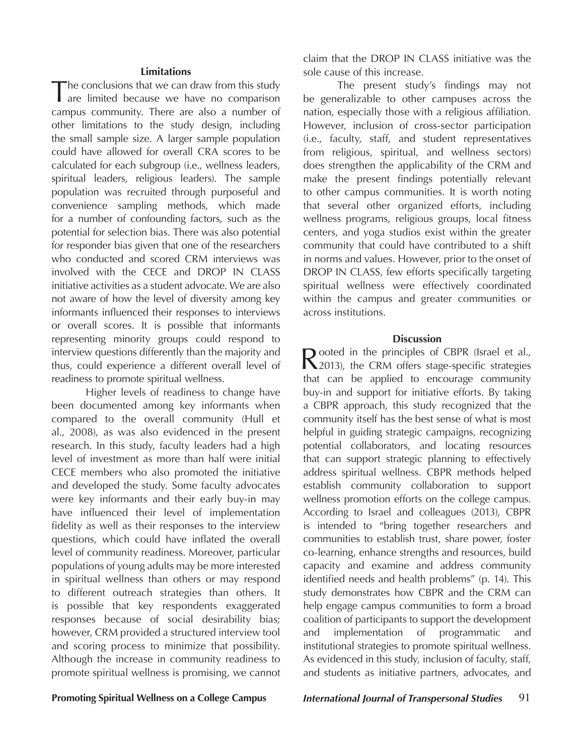#### **Limitations**

The conclusions that we can draw from this study are limited because we have no comparison campus community. There are also a number of other limitations to the study design, including the small sample size. A larger sample population could have allowed for overall CRA scores to be calculated for each subgroup (i.e., wellness leaders, spiritual leaders, religious leaders). The sample population was recruited through purposeful and convenience sampling methods, which made for a number of confounding factors, such as the potential for selection bias. There was also potential for responder bias given that one of the researchers who conducted and scored CRM interviews was involved with the CECE and DROP IN CLASS initiative activities as a student advocate. We are also not aware of how the level of diversity among key informants influenced their responses to interviews or overall scores. It is possible that informants representing minority groups could respond to interview questions differently than the majority and thus, could experience a different overall level of readiness to promote spiritual wellness.

Higher levels of readiness to change have been documented among key informants when compared to the overall community (Hull et al., 2008), as was also evidenced in the present research. In this study, faculty leaders had a high level of investment as more than half were initial CECE members who also promoted the initiative and developed the study. Some faculty advocates were key informants and their early buy-in may have influenced their level of implementation fidelity as well as their responses to the interview questions, which could have inflated the overall level of community readiness. Moreover, particular populations of young adults may be more interested in spiritual wellness than others or may respond to different outreach strategies than others. It is possible that key respondents exaggerated responses because of social desirability bias; however, CRM provided a structured interview tool and scoring process to minimize that possibility. Although the increase in community readiness to promote spiritual wellness is promising, we cannot

claim that the DROP IN CLASS initiative was the sole cause of this increase.

The present study's findings may not be generalizable to other campuses across the nation, especially those with a religious affiliation. However, inclusion of cross-sector participation (i.e., faculty, staff, and student representatives from religious, spiritual, and wellness sectors) does strengthen the applicability of the CRM and make the present findings potentially relevant to other campus communities. It is worth noting that several other organized efforts, including wellness programs, religious groups, local fitness centers, and yoga studios exist within the greater community that could have contributed to a shift in norms and values. However, prior to the onset of DROP IN CLASS, few efforts specifically targeting spiritual wellness were effectively coordinated within the campus and greater communities or across institutions.

#### **Discussion**

Rooted in the principles of CBPR (Israel et al., 2013), the CRM offers stage-specific strategies that can be applied to encourage community buy-in and support for initiative efforts. By taking a CBPR approach, this study recognized that the community itself has the best sense of what is most helpful in guiding strategic campaigns, recognizing potential collaborators, and locating resources that can support strategic planning to effectively address spiritual wellness. CBPR methods helped establish community collaboration to support wellness promotion efforts on the college campus. According to Israel and colleagues (2013), CBPR is intended to "bring together researchers and communities to establish trust, share power, foster co-learning, enhance strengths and resources, build capacity and examine and address community identified needs and health problems" (p. 14). This study demonstrates how CBPR and the CRM can help engage campus communities to form a broad coalition of participants to support the development and implementation of programmatic and institutional strategies to promote spiritual wellness. As evidenced in this study, inclusion of faculty, staff, and students as initiative partners, advocates, and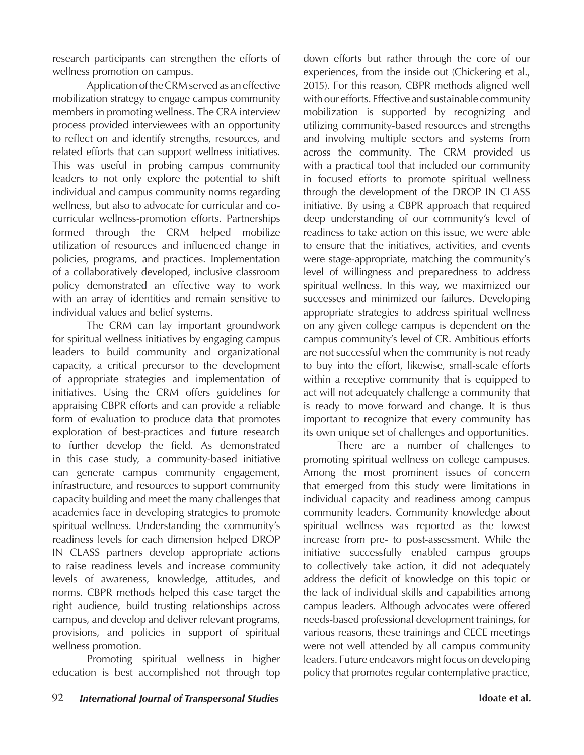research participants can strengthen the efforts of wellness promotion on campus.

Application of the CRM served as an effective mobilization strategy to engage campus community members in promoting wellness. The CRA interview process provided interviewees with an opportunity to reflect on and identify strengths, resources, and related efforts that can support wellness initiatives. This was useful in probing campus community leaders to not only explore the potential to shift individual and campus community norms regarding wellness, but also to advocate for curricular and cocurricular wellness-promotion efforts. Partnerships formed through the CRM helped mobilize utilization of resources and influenced change in policies, programs, and practices. Implementation of a collaboratively developed, inclusive classroom policy demonstrated an effective way to work with an array of identities and remain sensitive to individual values and belief systems.

The CRM can lay important groundwork for spiritual wellness initiatives by engaging campus leaders to build community and organizational capacity, a critical precursor to the development of appropriate strategies and implementation of initiatives. Using the CRM offers guidelines for appraising CBPR efforts and can provide a reliable form of evaluation to produce data that promotes exploration of best-practices and future research to further develop the field. As demonstrated in this case study, a community-based initiative can generate campus community engagement, infrastructure, and resources to support community capacity building and meet the many challenges that academies face in developing strategies to promote spiritual wellness. Understanding the community's readiness levels for each dimension helped DROP IN CLASS partners develop appropriate actions to raise readiness levels and increase community levels of awareness, knowledge, attitudes, and norms. CBPR methods helped this case target the right audience, build trusting relationships across campus, and develop and deliver relevant programs, provisions, and policies in support of spiritual wellness promotion.

Promoting spiritual wellness in higher education is best accomplished not through top down efforts but rather through the core of our experiences, from the inside out (Chickering et al., 2015). For this reason, CBPR methods aligned well with our efforts. Effective and sustainable community mobilization is supported by recognizing and utilizing community-based resources and strengths and involving multiple sectors and systems from across the community. The CRM provided us with a practical tool that included our community in focused efforts to promote spiritual wellness through the development of the DROP IN CLASS initiative. By using a CBPR approach that required deep understanding of our community's level of readiness to take action on this issue, we were able to ensure that the initiatives, activities, and events were stage-appropriate, matching the community's level of willingness and preparedness to address spiritual wellness. In this way, we maximized our successes and minimized our failures. Developing appropriate strategies to address spiritual wellness on any given college campus is dependent on the campus community's level of CR. Ambitious efforts are not successful when the community is not ready to buy into the effort, likewise, small-scale efforts within a receptive community that is equipped to act will not adequately challenge a community that is ready to move forward and change. It is thus important to recognize that every community has its own unique set of challenges and opportunities.

There are a number of challenges to promoting spiritual wellness on college campuses. Among the most prominent issues of concern that emerged from this study were limitations in individual capacity and readiness among campus community leaders. Community knowledge about spiritual wellness was reported as the lowest increase from pre- to post-assessment. While the initiative successfully enabled campus groups to collectively take action, it did not adequately address the deficit of knowledge on this topic or the lack of individual skills and capabilities among campus leaders. Although advocates were offered needs-based professional development trainings, for various reasons, these trainings and CECE meetings were not well attended by all campus community leaders. Future endeavors might focus on developing policy that promotes regular contemplative practice,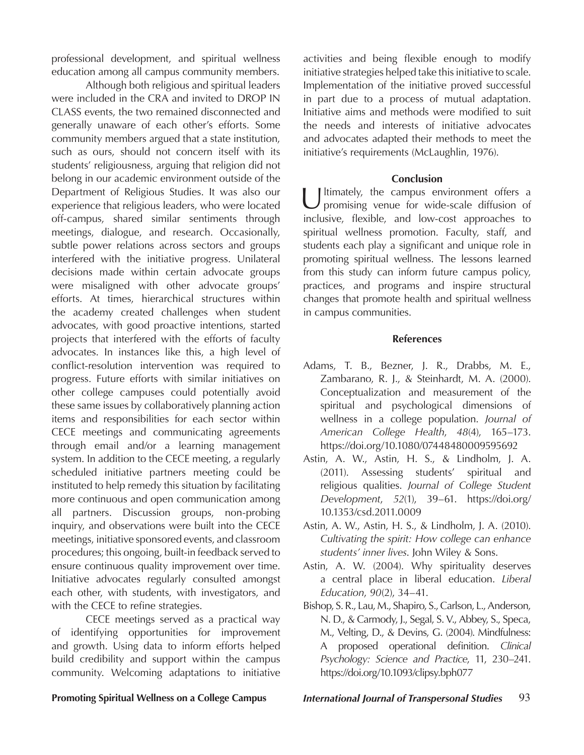professional development, and spiritual wellness education among all campus community members.

Although both religious and spiritual leaders were included in the CRA and invited to DROP IN CLASS events, the two remained disconnected and generally unaware of each other's efforts. Some community members argued that a state institution, such as ours, should not concern itself with its students' religiousness, arguing that religion did not belong in our academic environment outside of the Department of Religious Studies. It was also our experience that religious leaders, who were located off-campus, shared similar sentiments through meetings, dialogue, and research. Occasionally, subtle power relations across sectors and groups interfered with the initiative progress. Unilateral decisions made within certain advocate groups were misaligned with other advocate groups' efforts. At times, hierarchical structures within the academy created challenges when student advocates, with good proactive intentions, started projects that interfered with the efforts of faculty advocates. In instances like this, a high level of conflict-resolution intervention was required to progress. Future efforts with similar initiatives on other college campuses could potentially avoid these same issues by collaboratively planning action items and responsibilities for each sector within CECE meetings and communicating agreements through email and/or a learning management system. In addition to the CECE meeting, a regularly scheduled initiative partners meeting could be instituted to help remedy this situation by facilitating more continuous and open communication among all partners. Discussion groups, non-probing inquiry, and observations were built into the CECE meetings, initiative sponsored events, and classroom procedures; this ongoing, built-in feedback served to ensure continuous quality improvement over time. Initiative advocates regularly consulted amongst each other, with students, with investigators, and with the CECE to refine strategies.

CECE meetings served as a practical way of identifying opportunities for improvement and growth. Using data to inform efforts helped build credibility and support within the campus community. Welcoming adaptations to initiative activities and being flexible enough to modify initiative strategies helped take this initiative to scale. Implementation of the initiative proved successful in part due to a process of mutual adaptation. Initiative aims and methods were modified to suit the needs and interests of initiative advocates and advocates adapted their methods to meet the initiative's requirements (McLaughlin, 1976).

#### **Conclusion**

U ltimately, the campus environment offers a promising venue for wide-scale diffusion of inclusive, flexible, and low-cost approaches to spiritual wellness promotion. Faculty, staff, and students each play a significant and unique role in promoting spiritual wellness. The lessons learned from this study can inform future campus policy, practices, and programs and inspire structural changes that promote health and spiritual wellness in campus communities.

#### **References**

- Adams, T. B., Bezner, J. R., Drabbs, M. E., Zambarano, R. J., & Steinhardt, M. A. (2000). Conceptualization and measurement of the spiritual and psychological dimensions of wellness in a college population. *Journal of American College Health*, *48*(4), 165–173. https://doi.org/10.1080/07448480009595692
- Astin, A. W., Astin, H. S., & Lindholm, J. A. (2011). Assessing students' spiritual and religious qualities. *Journal of College Student Development*, *52*(1), 39–61. https://doi.org/ 10.1353/csd.2011.0009
- Astin, A. W., Astin, H. S., & Lindholm, J. A. (2010). *Cultivating the spirit: How college can enhance students' inner lives*. John Wiley & Sons.
- Astin, A. W. (2004). Why spirituality deserves a central place in liberal education. *Liberal Education*, *90*(2), 34–41.
- Bishop, S. R., Lau, M., Shapiro, S., Carlson, L., Anderson, N. D., & Carmody, J., Segal, S. V., Abbey, S., Speca, M., Velting, D., & Devins, G. (2004). Mindfulness: A proposed operational definition. *Clinical Psychology: Science and Practice*, 11, 230–241. https://doi.org/10.1093/clipsy.bph077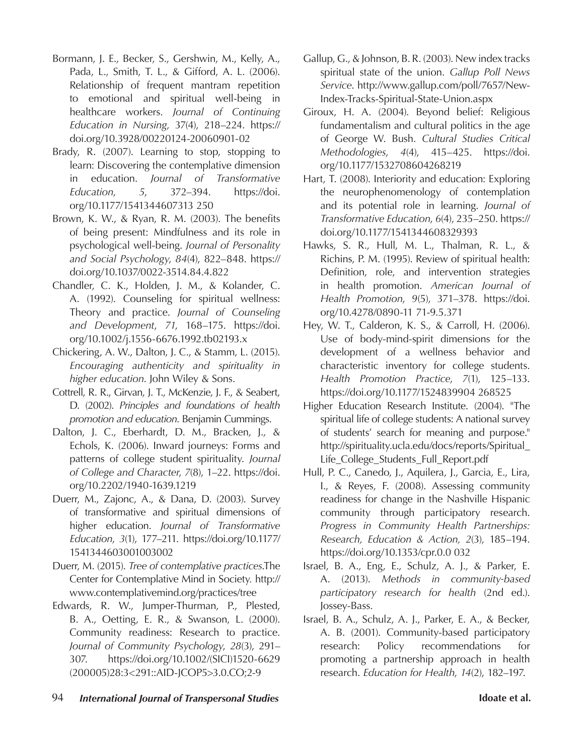- Bormann, J. E., Becker, S., Gershwin, M., Kelly, A., Pada, L., Smith, T. L., & Gifford, A. L. (2006). Relationship of frequent mantram repetition to emotional and spiritual well-being in healthcare workers. *Journal of Continuing Education in Nursing*, 37(4), 218–224. https:// doi.org/10.3928/00220124-20060901-02
- Brady, R. (2007). Learning to stop, stopping to learn: Discovering the contemplative dimension in education. *Journal of Transformative Education*, *5*, 372–394. https://doi. org/10.1177/1541344607313 250
- Brown, K. W., & Ryan, R. M. (2003). The benefits of being present: Mindfulness and its role in psychological well-being. *Journal of Personality and Social Psychology*, *84*(4), 822–848. https:// doi.org/10.1037/0022-3514.84.4.822
- Chandler, C. K., Holden, J. M., & Kolander, C. A. (1992). Counseling for spiritual wellness: Theory and practice. *Journal of Counseling and Development*, *71*, 168–175. https://doi. org/10.1002/j.1556-6676.1992.tb02193.x
- Chickering, A. W., Dalton, J. C., & Stamm, L. (2015). *Encouraging authenticity and spirituality in higher education*. John Wiley & Sons.
- Cottrell, R. R., Girvan, J. T., McKenzie, J. F., & Seabert, D. (2002). *Principles and foundations of health promotion and education*. Benjamin Cummings.
- Dalton, J. C., Eberhardt, D. M., Bracken, J., & Echols, K. (2006). Inward journeys: Forms and patterns of college student spirituality. *Journal of College and Character*, *7*(8), 1–22. https://doi. org/10.2202/1940-1639.1219
- Duerr, M., Zajonc, A., & Dana, D. (2003). Survey of transformative and spiritual dimensions of higher education. *Journal of Transformative Education*, *3*(1), 177–211. https://doi.org/10.1177/ 1541344603001003002
- Duerr, M. (2015). *Tree of contemplative practices*.The Center for Contemplative Mind in Society*.* http:// www.contemplativemind.org/practices/tree
- Edwards, R. W., Jumper-Thurman, P., Plested, B. A., Oetting, E. R., & Swanson, L. (2000). Community readiness: Research to practice. *Journal of Community Psychology*, *28*(3), 291– 307. https://doi.org/10.1002/(SICI)1520-6629 (200005)28:3<291::AID-JCOP5>3.0.CO;2-9
- Gallup, G., & Johnson, B. R. (2003). New index tracks spiritual state of the union. *Gallup Poll News Service*. http://www.gallup.com/poll/7657/New-Index-Tracks-Spiritual-State-Union.aspx
- Giroux, H. A. (2004). Beyond belief: Religious fundamentalism and cultural politics in the age of George W. Bush. *Cultural Studies Critical Methodologies*, *4*(4), 415–425. https://doi. org/10.1177/1532708604268219
- Hart, T. (2008). Interiority and education: Exploring the neurophenomenology of contemplation and its potential role in learning. *Journal of Transformative Education*, *6*(4), 235–250. https:// doi.org/10.1177/1541344608329393
- Hawks, S. R., Hull, M. L., Thalman, R. L., & Richins, P. M. (1995). Review of spiritual health: Definition, role, and intervention strategies in health promotion. *American Journal of Health Promotion*, *9*(5), 371–378. https://doi. org/10.4278/0890-11 71-9.5.371
- Hey, W. T., Calderon, K. S., & Carroll, H. (2006). Use of body-mind-spirit dimensions for the development of a wellness behavior and characteristic inventory for college students. *Health Promotion Practice*, *7*(1), 125–133. https://doi.org/10.1177/1524839904 268525
- Higher Education Research Institute. (2004). "The spiritual life of college students: A national survey of students' search for meaning and purpose." http://spirituality.ucla.edu/docs/reports/Spiritual\_ Life\_College\_Students\_Full\_Report.pdf
- Hull, P. C., Canedo, J., Aquilera, J., Garcia, E., Lira, I., & Reyes, F. (2008). Assessing community readiness for change in the Nashville Hispanic community through participatory research. *Progress in Community Health Partnerships: Research, Education & Action, 2*(3), 185–194. https://doi.org/10.1353/cpr.0.0 032
- Israel, B. A., Eng, E., Schulz, A. J., & Parker, E. A. (2013). *Methods in community-based participatory research for health* (2nd ed.). Jossey-Bass.
- Israel, B. A., Schulz, A. J., Parker, E. A., & Becker, A. B. (2001). Community-based participatory research: Policy recommendations for promoting a partnership approach in health research. *Education for Health*, *14*(2), 182–197.
- 94 *International Journal of Transpersonal Studies* **Idoate et al.**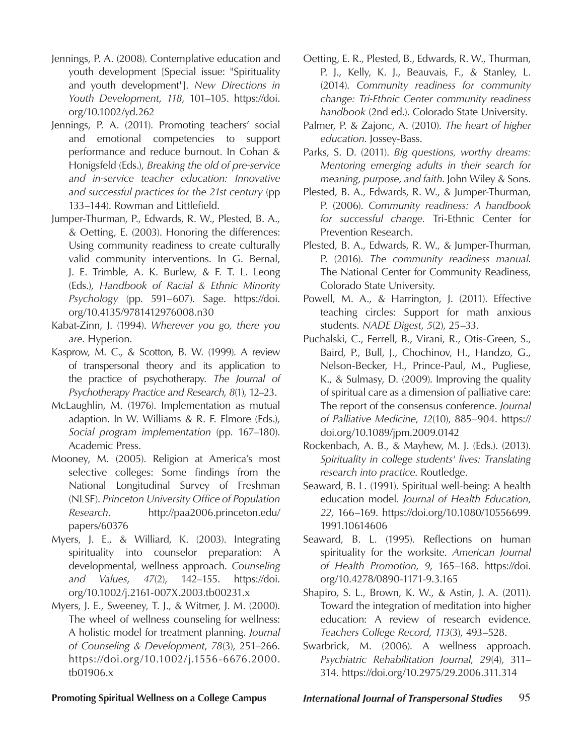- Jennings, P. A. (2008). Contemplative education and youth development [Special issue: "Spirituality and youth development"]. *New Directions in Youth Development*, *118*, 101–105. https://doi. org/10.1002/yd.262
- Jennings, P. A. (2011). Promoting teachers' social and emotional competencies to support performance and reduce burnout. In Cohan & Honigsfeld (Eds.), *Breaking the old of pre-service and in-service teacher education: Innovative and successful practices for the 21st century* (pp 133–144). Rowman and Littlefield.
- Jumper-Thurman, P., Edwards, R. W., Plested, B. A., & Oetting, E. (2003). Honoring the differences: Using community readiness to create culturally valid community interventions. In G. Bernal, J. E. Trimble, A. K. Burlew, & F. T. L. Leong (Eds.), *Handbook of Racial & Ethnic Minority Psychology* (pp. 591–607). Sage. https://doi. org/10.4135/9781412976008.n30
- Kabat-Zinn, J. (1994). *Wherever you go, there you are*. Hyperion.
- Kasprow, M. C., & Scotton, B. W. (1999). A review of transpersonal theory and its application to the practice of psychotherapy. *The Journal of Psychotherapy Practice and Research*, *8*(1), 12–23.
- McLaughlin, M. (1976). Implementation as mutual adaption. In W. Williams & R. F. Elmore (Eds.), *Social program implementation* (pp. 167–180). Academic Press.
- Mooney, M. (2005). Religion at America's most selective colleges: Some findings from the National Longitudinal Survey of Freshman (NLSF). *Princeton University Office of Population Research*. http://paa2006.princeton.edu/ papers/60376
- Myers, J. E., & Williard, K. (2003). Integrating spirituality into counselor preparation: A developmental, wellness approach. *Counseling and Values*, *47*(2), 142–155. https://doi. org/10.1002/j.2161-007X.2003.tb00231.x
- Myers, J. E., Sweeney, T. J., & Witmer, J. M. (2000). The wheel of wellness counseling for wellness: A holistic model for treatment planning. *Journal of Counseling & Development*, *78*(3), 251–266. https://doi.org/10.1002/j.1556-6676.2000. tb01906.x
- Oetting, E. R., Plested, B., Edwards, R. W., Thurman, P. J., Kelly, K. J., Beauvais, F., & Stanley, L. (2014). *Community readiness for community change: Tri-Ethnic Center community readiness handbook* (2nd ed.). Colorado State University.
- Palmer, P. & Zajonc, A. (2010). *The heart of higher education*. Jossey-Bass.
- Parks, S. D. (2011). *Big questions, worthy dreams: Mentoring emerging adults in their search for meaning, purpose, and faith*. John Wiley & Sons.
- Plested, B. A., Edwards, R. W., & Jumper-Thurman, P. (2006). *Community readiness: A handbook for successful change.* Tri-Ethnic Center for Prevention Research.
- Plested, B. A., Edwards, R. W., & Jumper-Thurman, P. (2016). *The community readiness manual*. The National Center for Community Readiness, Colorado State University.
- Powell, M. A., & Harrington, J. (2011). Effective teaching circles: Support for math anxious students. *NADE Digest*, *5*(2), 25–33.
- Puchalski, C., Ferrell, B., Virani, R., Otis-Green, S., Baird, P., Bull, J., Chochinov, H., Handzo, G., Nelson-Becker, H., Prince-Paul, M., Pugliese, K., & Sulmasy, D. (2009). Improving the quality of spiritual care as a dimension of palliative care: The report of the consensus conference. *Journal of Palliative Medicine*, *12*(10), 885–904. https:// doi.org/10.1089/jpm.2009.0142
- Rockenbach, A. B., & Mayhew, M. J. (Eds.). (2013). *Spirituality in college students' lives: Translating research into practice*. Routledge.
- Seaward, B. L. (1991). Spiritual well-being: A health education model. *Journal of Health Education*, *22*, 166–169. https://doi.org/10.1080/10556699. 1991.10614606
- Seaward, B. L. (1995). Reflections on human spirituality for the worksite. *American Journal of Health Promotion, 9*, 165–168. https://doi. org/10.4278/0890-1171-9.3.165
- Shapiro, S. L., Brown, K. W., & Astin, J. A. (2011). Toward the integration of meditation into higher education: A review of research evidence. *Teachers College Record*, *113*(3), 493–528.
- Swarbrick, M. (2006). A wellness approach. *Psychiatric Rehabilitation Journal*, *29*(4), 311– 314. https://doi.org/10.2975/29.2006.311.314

**Promoting Spiritual Wellness on a College Campus** *International Journal of Transpersonal Studies* 95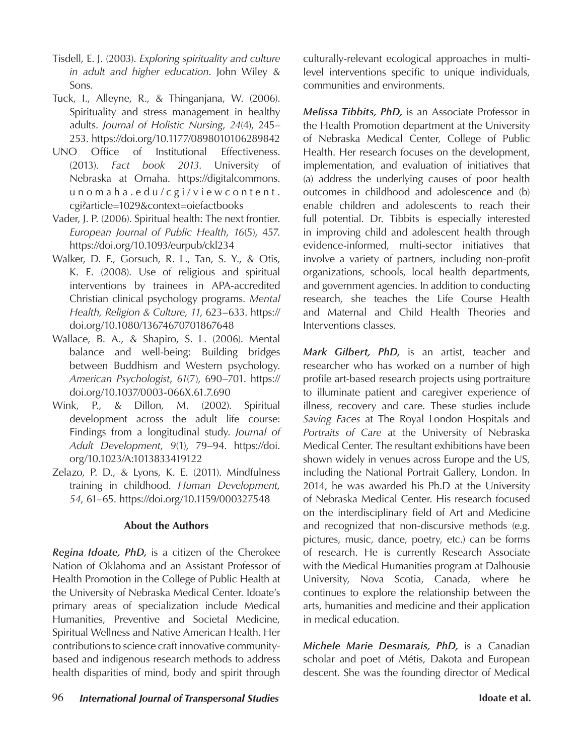- Tisdell, E. J. (2003). *Exploring spirituality and culture in adult and higher education*. John Wiley & Sons.
- Tuck, I., Alleyne, R., & Thinganjana, W. (2006). Spirituality and stress management in healthy adults. *Journal of Holistic Nursing*, *24*(4), 245– 253. https://doi.org/10.1177/0898010106289842
- UNO Office of Institutional Effectiveness. (2013). *Fact book 2013*. University of Nebraska at Omaha. https://digitalcommons. unomaha.edu/cgi/viewcontent. cgi?article=1029&context=oiefactbooks
- Vader, J. P. (2006). Spiritual health: The next frontier. *European Journal of Public Health*, *16*(5), 457. https://doi.org/10.1093/eurpub/ckl234
- Walker, D. F., Gorsuch, R. L., Tan, S. Y., & Otis, K. E. (2008). Use of religious and spiritual interventions by trainees in APA-accredited Christian clinical psychology programs. *Mental Health, Religion & Culture*, *11*, 623–633. https:// doi.org/10.1080/13674670701867648
- Wallace, B. A., & Shapiro, S. L. (2006). Mental balance and well-being: Building bridges between Buddhism and Western psychology. *American Psychologist*, *61*(7), 690–701. https:// doi.org/10.1037/0003-066X.61.7.690
- Wink, P., & Dillon, M. (2002). Spiritual development across the adult life course: Findings from a longitudinal study. *Journal of Adult Development*, *9*(1), 79–94. https://doi. org/10.1023/A:1013833419122
- Zelazo, P. D., & Lyons, K. E. (2011). Mindfulness training in childhood. *Human Development, 54*, 61–65. https://doi.org/10.1159/000327548

### **About the Authors**

*Regina Idoate, PhD,* is a citizen of the Cherokee Nation of Oklahoma and an Assistant Professor of Health Promotion in the College of Public Health at the University of Nebraska Medical Center. Idoate's primary areas of specialization include Medical Humanities, Preventive and Societal Medicine, Spiritual Wellness and Native American Health. Her contributions to science craft innovative communitybased and indigenous research methods to address health disparities of mind, body and spirit through culturally-relevant ecological approaches in multilevel interventions specific to unique individuals, communities and environments.

*Melissa Tibbits, PhD,* is an Associate Professor in the Health Promotion department at the University of Nebraska Medical Center, College of Public Health. Her research focuses on the development, implementation, and evaluation of initiatives that (a) address the underlying causes of poor health outcomes in childhood and adolescence and (b) enable children and adolescents to reach their full potential. Dr. Tibbits is especially interested in improving child and adolescent health through evidence-informed, multi-sector initiatives that involve a variety of partners, including non-profit organizations, schools, local health departments, and government agencies. In addition to conducting research, she teaches the Life Course Health and Maternal and Child Health Theories and Interventions classes.

*Mark Gilbert, PhD,* is an artist, teacher and researcher who has worked on a number of high profile art-based research projects using portraiture to illuminate patient and caregiver experience of illness, recovery and care. These studies include *Saving Faces* at The Royal London Hospitals and *Portraits of Care* at the University of Nebraska Medical Center. The resultant exhibitions have been shown widely in venues across Europe and the US, including the National Portrait Gallery, London. In 2014, he was awarded his Ph.D at the University of Nebraska Medical Center. His research focused on the interdisciplinary field of Art and Medicine and recognized that non-discursive methods (e.g. pictures, music, dance, poetry, etc.) can be forms of research. He is currently Research Associate with the Medical Humanities program at Dalhousie University, Nova Scotia, Canada, where he continues to explore the relationship between the arts, humanities and medicine and their application in medical education.

*Michele Marie Desmarais, PhD,* is a Canadian scholar and poet of Métis, Dakota and European descent. She was the founding director of Medical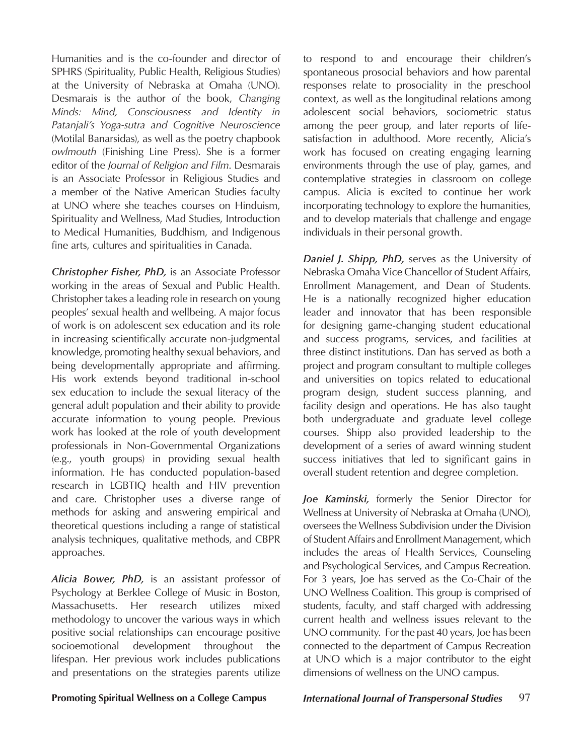Humanities and is the co-founder and director of SPHRS (Spirituality, Public Health, Religious Studies) at the University of Nebraska at Omaha (UNO). Desmarais is the author of the book, *Changing Minds: Mind, Consciousness and Identity in Patanjali's Yoga-sutra and Cognitive Neuroscience* (Motilal Banarsidas), as well as the poetry chapbook *owlmouth* (Finishing Line Press). She is a former editor of the *Journal of Religion and Film*. Desmarais is an Associate Professor in Religious Studies and a member of the Native American Studies faculty at UNO where she teaches courses on Hinduism, Spirituality and Wellness, Mad Studies, Introduction to Medical Humanities, Buddhism, and Indigenous fine arts, cultures and spiritualities in Canada.

*Christopher Fisher, PhD,* is an Associate Professor working in the areas of Sexual and Public Health. Christopher takes a leading role in research on young peoples' sexual health and wellbeing. A major focus of work is on adolescent sex education and its role in increasing scientifically accurate non-judgmental knowledge, promoting healthy sexual behaviors, and being developmentally appropriate and affirming. His work extends beyond traditional in-school sex education to include the sexual literacy of the general adult population and their ability to provide accurate information to young people. Previous work has looked at the role of youth development professionals in Non-Governmental Organizations (e.g., youth groups) in providing sexual health information. He has conducted population-based research in LGBTIQ health and HIV prevention and care. Christopher uses a diverse range of methods for asking and answering empirical and theoretical questions including a range of statistical analysis techniques, qualitative methods, and CBPR approaches.

*Alicia Bower, PhD,* is an assistant professor of Psychology at Berklee College of Music in Boston, Massachusetts. Her research utilizes mixed methodology to uncover the various ways in which positive social relationships can encourage positive socioemotional development throughout the lifespan. Her previous work includes publications and presentations on the strategies parents utilize

to respond to and encourage their children's spontaneous prosocial behaviors and how parental responses relate to prosociality in the preschool context, as well as the longitudinal relations among adolescent social behaviors, sociometric status among the peer group, and later reports of lifesatisfaction in adulthood. More recently, Alicia's work has focused on creating engaging learning environments through the use of play, games, and contemplative strategies in classroom on college campus. Alicia is excited to continue her work incorporating technology to explore the humanities, and to develop materials that challenge and engage individuals in their personal growth.

*Daniel J. Shipp, PhD,* serves as the University of Nebraska Omaha Vice Chancellor of Student Affairs, Enrollment Management, and Dean of Students. He is a nationally recognized higher education leader and innovator that has been responsible for designing game-changing student educational and success programs, services, and facilities at three distinct institutions. Dan has served as both a project and program consultant to multiple colleges and universities on topics related to educational program design, student success planning, and facility design and operations. He has also taught both undergraduate and graduate level college courses. Shipp also provided leadership to the development of a series of award winning student success initiatives that led to significant gains in overall student retention and degree completion.

*Joe Kaminski,* formerly the Senior Director for Wellness at University of Nebraska at Omaha (UNO), oversees the Wellness Subdivision under the Division of Student Affairs and Enrollment Management, which includes the areas of Health Services, Counseling and Psychological Services, and Campus Recreation. For 3 years, Joe has served as the Co-Chair of the UNO Wellness Coalition. This group is comprised of students, faculty, and staff charged with addressing current health and wellness issues relevant to the UNO community. For the past 40 years, Joe has been connected to the department of Campus Recreation at UNO which is a major contributor to the eight dimensions of wellness on the UNO campus.